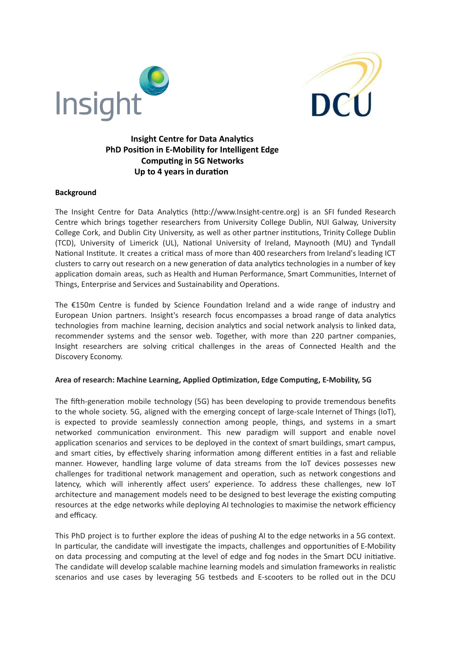



# **Insight Centre for Data Analytics PhD Position in E-Mobility for Intelligent Edge Computing in 5G Networks Up to 4 years in duration**

#### **Background**

The Insight Centre for Data Analytics (http://www.Insight-centre.org) is an SFI funded Research Centre which brings together researchers from University College Dublin, NUI Galway, University College Cork, and Dublin City University, as well as other partner institutions, Trinity College Dublin (TCD), University of Limerick (UL), National University of Ireland, Maynooth (MU) and Tyndall National Institute. It creates a critical mass of more than 400 researchers from Ireland's leading ICT clusters to carry out research on a new generation of data analytics technologies in a number of key application domain areas, such as Health and Human Performance, Smart Communities, Internet of Things, Enterprise and Services and Sustainability and Operations.

The  $£150m$  Centre is funded by Science Foundation Ireland and a wide range of industry and European Union partners. Insight's research focus encompasses a broad range of data analytics technologies from machine learning, decision analytics and social network analysis to linked data, recommender systems and the sensor web. Together, with more than 220 partner companies, Insight researchers are solving critical challenges in the areas of Connected Health and the Discovery Economy.

#### **Area of research: Machine Learning, Applied Opmizaon, Edge Compung, E-Mobility, 5G**

The fifth-generation mobile technology (5G) has been developing to provide tremendous benefits to the whole society. 5G, aligned with the emerging concept of large-scale Internet of Things (IoT), is expected to provide seamlessly connection among people, things, and systems in a smart networked communication environment. This new paradigm will support and enable novel application scenarios and services to be deployed in the context of smart buildings, smart campus, and smart cities, by effectively sharing information among different entities in a fast and reliable manner. However, handling large volume of data streams from the IoT devices possesses new challenges for traditional network management and operation, such as network congestions and latency, which will inherently affect users' experience. To address these challenges, new IoT architecture and management models need to be designed to best leverage the existing computing resources at the edge networks while deploying AI technologies to maximise the network efficiency and efficacy.

This PhD project is to further explore the ideas of pushing AI to the edge networks in a 5G context. In particular, the candidate will investigate the impacts, challenges and opportunities of E-Mobility on data processing and computing at the level of edge and fog nodes in the Smart DCU initiative. The candidate will develop scalable machine learning models and simulation frameworks in realistic scenarios and use cases by leveraging 5G testbeds and E-scooters to be rolled out in the DCU